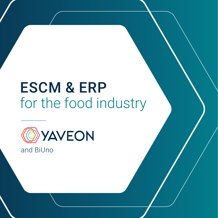# ESCM & ERP for the food industry



and BiUno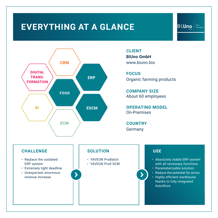### **EVERYTHING AT A GLANCE**



### **CLIENT BiUno GmbH** www.biuno.bio

**FOCUS** Organic farming products

**COMPANY SIZE** About 60 employees

**OPERATING MODEL** On-Premises

**COUNTRY Germany** 

 $\blacktriangleright$ 

### **CHALLENGE**

- Replace the outdated ERP system
- Extremely tight deadline
- Unexpected, enormous revenue increase

### **SOLUTION**

 $\blacktriangleright$ 

- YAVEON ProBatch
- YAVEON ProE-SCM

### **USE**

• Absolutely stable ERP system with all necessary functions

**BiUno** 

Bio.<br>Bewegen

- Parameterizable solution
- Reduce the potential for errors
- Highly efficient warehouse thanks to fully integrated AutoStore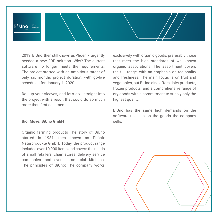

2019. BiUno, then still known as Phoenix, urgently needed a new ERP solution. Why? The current software no longer meets the requirements. The project started with an ambitious target of only six months project duration, with go-live scheduled for January 1, 2020.

Roll up your sleeves, and let's go - straight into the project with a result that could do so much more than first assumed...

#### **Bio. Move: BiUno GmbH**

Organic farming products The story of BiUno started in 1981, then known as Phönix Naturprodukte GmbH. Today, the product range includes over 10,000 items and covers the needs of small retailers, chain stores, delivery service companies, and even commercial kitchens. The principles of BiUno: The company works exclusively with organic goods, preferably those that meet the high standards of well-known organic associations. The assortment covers the full range, with an emphasis on regionality and freshness. The main focus is on fruit and vegetables, but BiUno also offers dairy products, frozen products, and a comprehensive range of dry goods with a commitment to supply only the highest quality.

BiUno has the same high demands on the software used as on the goods the company sells.

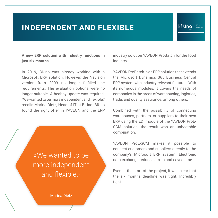### **INDEPENDENT AND FLEXIBLE**

### **A new ERP solution with industry functions in just six months**

In 2019, BiUno was already working with a Microsoft ERP solution. However, the Navision version from 2009 no longer fulfilled the requirements. The evaluation options were no longer suitable. A healthy update was required. "We wanted to be more independent and flexible," recalls Marina Dietz, Head of IT at BiUno. BiUno found the right offer in YAVEON and the ERP



Marina Dietz

industry solution YAVEON ProBatch for the food industry.

BiUno

YAVEON ProBatch is an ERP solution that extends the Microsoft Dynamics 365 Business Central ERP system with industry-relevant features. With its numerous modules, it covers the needs of companies in the areas of warehousing, logistics, trade, and quality assurance, among others.

Combined with the possibility of connecting warehouses, partners, or suppliers to their own ERP using the EDI module of the YAVEON ProE-SCM solution, the result was an unbeatable combination.

YAVEON ProE-SCM makes it possible to connect customers and suppliers directly to the company's Microsoft ERP system. Electronic data exchange reduces errors and saves time.

Even at the start of the project, it was clear that the six months deadline was tight. Incredibly tight.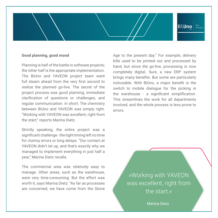### **BiUno**

### **Good planning, good mood**

Planning is half of the battle in software projects; the other half is the appropriate implementation. The BiUno and YAVEON project team went full steam ahead from the very first second to realize the planned go-live. The secret of the project process was good planning, immediate clarification of questions or challenges, and regular communication. In short: The chemistry between BiUno and YAVEON was simply right. "Working with YAVEON was excellent, right from the start," reports Marina Dietz.

Strictly speaking, the entire project was a significant challenge - the tight timing left no time for clumsy errors or long delays. "Our contact at YAVEON didn't let up, and that's exactly why we managed to implement everything in just half a year," Marina Dietz recalls.

The commercial area was relatively easy to manage. Other areas, such as the warehouse, were very time-consuming. But the effort was worth it, says Marina Dietz: "As far as processes are concerned, we have come from the Stone Age to the present day." For example, delivery bills used to be printed out and processed by hand, but since the go-live, processing is now completely digital. Sure, a new ERP system brings many benefits. But some are particularly noticeable. With BiUno, a major benefit is the switch to mobile dialogue for the picking in the warehouse - a significant simplification. This streamlines the work for all departments involved, and the whole process is less prone to errors.

> »Working with YAVEON was excellent, right from the start.«

> > Marina Dietz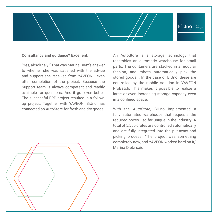## **BiUno**

#### **Consultancy and guidance? Excellent.**

"Yes, absolutely!" That was Marina Dietz's answer to whether she was satisfied with the advice and support she received from YAVEON - even after completion of the project. Because the Support team is always competent and readily available for questions. And it got even better. The successful ERP project resulted in a followup project: Together with YAVEON, BiUno has connected an AutoStore for fresh and dry goods.

An AutoStore is a storage technology that resembles an automatic warehouse for small parts. The containers are stacked in a modular fashion, and robots automatically pick the stored goods. . In the case of BiUno, these are controlled by the mobile solution in YAVEON ProBatch. This makes it possible to realize a large or even increasing storage capacity even in a confined space.

With the AutoStore, BiUno implemented a fully automated warehouse that requests the required boxes - so far unique in the industry. A total of 5,550 crates are controlled automatically and are fully integrated into the put-away and picking process. "The project was something completely new, and YAVEON worked hard on it," Marina Dietz said.